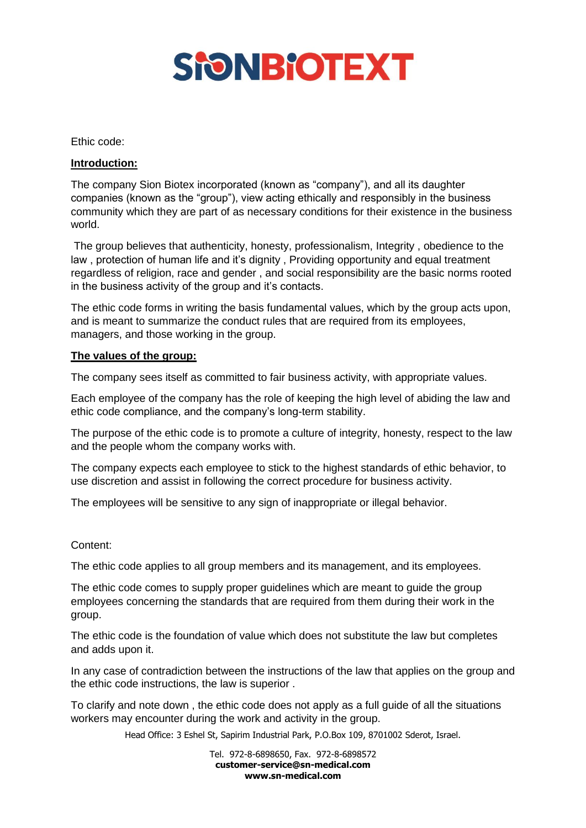

#### Ethic code:

# **Introduction:**

The company Sion Biotex incorporated (known as "company"), and all its daughter companies (known as the "group"), view acting ethically and responsibly in the business community which they are part of as necessary conditions for their existence in the business world.

The group believes that authenticity, honesty, professionalism, Integrity, obedience to the law , protection of human life and it's dignity , Providing opportunity and equal treatment regardless of religion, race and gender , and social responsibility are the basic norms rooted in the business activity of the group and it's contacts.

The ethic code forms in writing the basis fundamental values, which by the group acts upon, and is meant to summarize the conduct rules that are required from its employees, managers, and those working in the group.

### **The values of the group:**

The company sees itself as committed to fair business activity, with appropriate values.

Each employee of the company has the role of keeping the high level of abiding the law and ethic code compliance, and the company's long-term stability.

The purpose of the ethic code is to promote a culture of integrity, honesty, respect to the law and the people whom the company works with.

The company expects each employee to stick to the highest standards of ethic behavior, to use discretion and assist in following the correct procedure for business activity.

The employees will be sensitive to any sign of inappropriate or illegal behavior.

# Content:

The ethic code applies to all group members and its management, and its employees.

The ethic code comes to supply proper guidelines which are meant to guide the group employees concerning the standards that are required from them during their work in the group.

The ethic code is the foundation of value which does not substitute the law but completes and adds upon it.

In any case of contradiction between the instructions of the law that applies on the group and the ethic code instructions, the law is superior .

To clarify and note down , the ethic code does not apply as a full guide of all the situations workers may encounter during the work and activity in the group.

Head Office: 3 Eshel St, Sapirim Industrial Park, P.O.Box 109, 8701002 Sderot, Israel.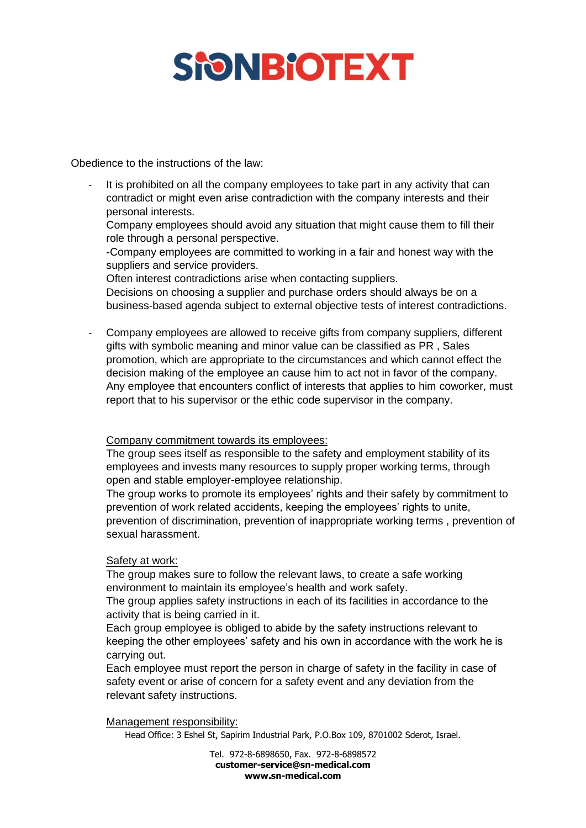# **SHONBIOTEXT**

Obedience to the instructions of the law:

It is prohibited on all the company employees to take part in any activity that can contradict or might even arise contradiction with the company interests and their personal interests.

Company employees should avoid any situation that might cause them to fill their role through a personal perspective.

-Company employees are committed to working in a fair and honest way with the suppliers and service providers.

Often interest contradictions arise when contacting suppliers.

Decisions on choosing a supplier and purchase orders should always be on a business-based agenda subject to external objective tests of interest contradictions.

- Company employees are allowed to receive gifts from company suppliers, different gifts with symbolic meaning and minor value can be classified as PR , Sales promotion, which are appropriate to the circumstances and which cannot effect the decision making of the employee an cause him to act not in favor of the company. Any employee that encounters conflict of interests that applies to him coworker, must report that to his supervisor or the ethic code supervisor in the company.

# Company commitment towards its employees:

The group sees itself as responsible to the safety and employment stability of its employees and invests many resources to supply proper working terms, through open and stable employer-employee relationship.

The group works to promote its employees' rights and their safety by commitment to prevention of work related accidents, keeping the employees' rights to unite, prevention of discrimination, prevention of inappropriate working terms , prevention of sexual harassment.

# Safety at work:

The group makes sure to follow the relevant laws, to create a safe working environment to maintain its employee's health and work safety.

The group applies safety instructions in each of its facilities in accordance to the activity that is being carried in it.

Each group employee is obliged to abide by the safety instructions relevant to keeping the other employees' safety and his own in accordance with the work he is carrying out.

Each employee must report the person in charge of safety in the facility in case of safety event or arise of concern for a safety event and any deviation from the relevant safety instructions.

# Management responsibility:

Head Office: 3 Eshel St, Sapirim Industrial Park, P.O.Box 109, 8701002 Sderot, Israel.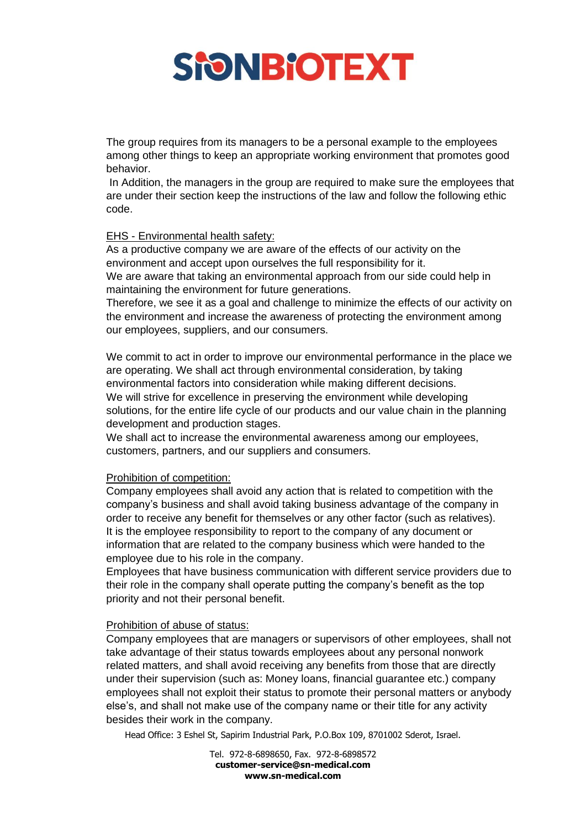

The group requires from its managers to be a personal example to the employees among other things to keep an appropriate working environment that promotes good behavior.

In Addition, the managers in the group are required to make sure the employees that are under their section keep the instructions of the law and follow the following ethic code.

### EHS - Environmental health safety:

As a productive company we are aware of the effects of our activity on the environment and accept upon ourselves the full responsibility for it. We are aware that taking an environmental approach from our side could help in maintaining the environment for future generations.

Therefore, we see it as a goal and challenge to minimize the effects of our activity on the environment and increase the awareness of protecting the environment among our employees, suppliers, and our consumers.

We commit to act in order to improve our environmental performance in the place we are operating. We shall act through environmental consideration, by taking environmental factors into consideration while making different decisions. We will strive for excellence in preserving the environment while developing solutions, for the entire life cycle of our products and our value chain in the planning development and production stages.

We shall act to increase the environmental awareness among our employees, customers, partners, and our suppliers and consumers.

#### Prohibition of competition:

Company employees shall avoid any action that is related to competition with the company's business and shall avoid taking business advantage of the company in order to receive any benefit for themselves or any other factor (such as relatives). It is the employee responsibility to report to the company of any document or information that are related to the company business which were handed to the employee due to his role in the company.

Employees that have business communication with different service providers due to their role in the company shall operate putting the company's benefit as the top priority and not their personal benefit.

#### Prohibition of abuse of status:

Company employees that are managers or supervisors of other employees, shall not take advantage of their status towards employees about any personal nonwork related matters, and shall avoid receiving any benefits from those that are directly under their supervision (such as: Money loans, financial guarantee etc.) company employees shall not exploit their status to promote their personal matters or anybody else's, and shall not make use of the company name or their title for any activity besides their work in the company.

Head Office: 3 Eshel St, Sapirim Industrial Park, P.O.Box 109, 8701002 Sderot, Israel.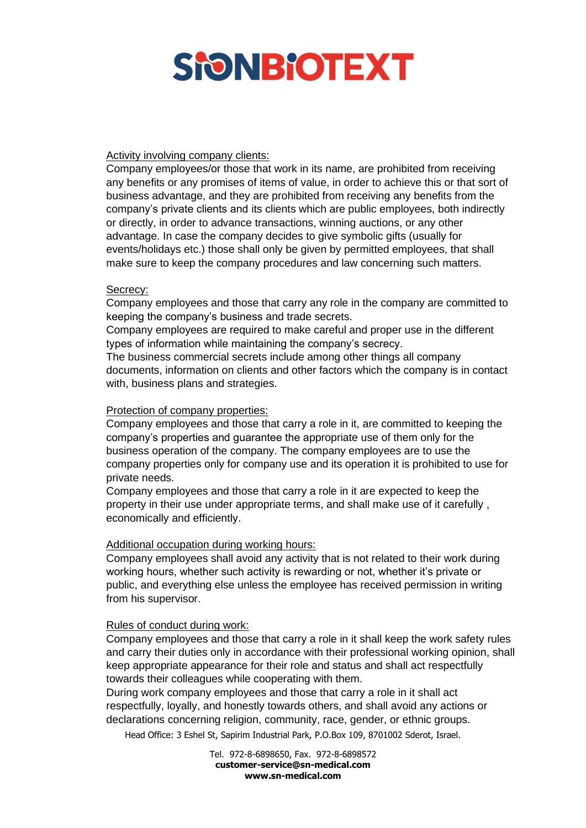

## Activity involving company clients:

Company employees/or those that work in its name, are prohibited from receiving any benefits or any promises of items of value, in order to achieve this or that sort of business advantage, and they are prohibited from receiving any benefits from the company's private clients and its clients which are public employees, both indirectly or directly, in order to advance transactions, winning auctions, or any other advantage. In case the company decides to give symbolic gifts (usually for events/holidays etc.) those shall only be given by permitted employees, that shall make sure to keep the company procedures and law concerning such matters.

### Secrecy:

Company employees and those that carry any role in the company are committed to keeping the company's business and trade secrets.

Company employees are required to make careful and proper use in the different types of information while maintaining the company's secrecy.

The business commercial secrets include among other things all company documents, information on clients and other factors which the company is in contact with, business plans and strategies.

### Protection of company properties:

Company employees and those that carry a role in it, are committed to keeping the company's properties and guarantee the appropriate use of them only for the business operation of the company. The company employees are to use the company properties only for company use and its operation it is prohibited to use for private needs.

Company employees and those that carry a role in it are expected to keep the property in their use under appropriate terms, and shall make use of it carefully , economically and efficiently.

#### Additional occupation during working hours:

Company employees shall avoid any activity that is not related to their work during working hours, whether such activity is rewarding or not, whether it's private or public, and everything else unless the employee has received permission in writing from his supervisor.

#### Rules of conduct during work:

Company employees and those that carry a role in it shall keep the work safety rules and carry their duties only in accordance with their professional working opinion, shall keep appropriate appearance for their role and status and shall act respectfully towards their colleagues while cooperating with them.

During work company employees and those that carry a role in it shall act respectfully, loyally, and honestly towards others, and shall avoid any actions or declarations concerning religion, community, race, gender, or ethnic groups.

Head Office: 3 Eshel St, Sapirim Industrial Park, P.O.Box 109, 8701002 Sderot, Israel.